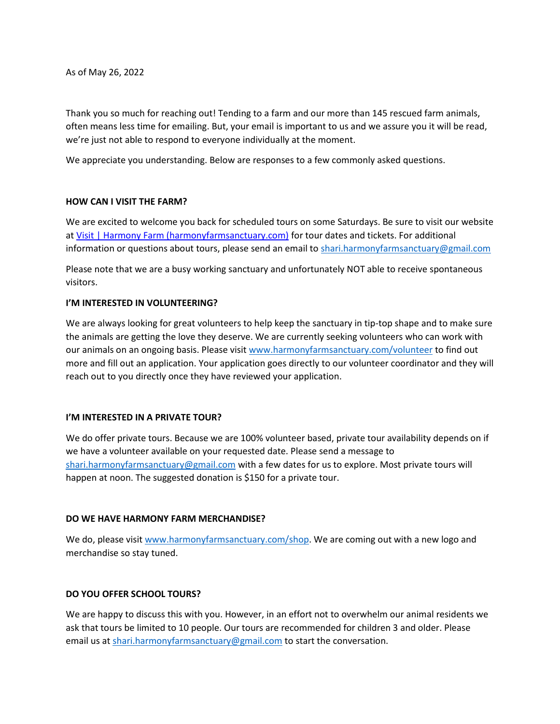As of May 26, 2022

Thank you so much for reaching out! Tending to a farm and our more than 145 rescued farm animals, often means less time for emailing. But, your email is important to us and we assure you it will be read, we're just not able to respond to everyone individually at the moment.

We appreciate you understanding. Below are responses to a few commonly asked questions.

## **HOW CAN I VISIT THE FARM?**

We are excited to welcome you back for scheduled tours on some Saturdays. Be sure to visit our website a[t Visit | Harmony Farm \(harmonyfarmsanctuary.com\)](https://www.harmonyfarmsanctuary.com/visit-1) for tour dates and tickets. For additional information or questions about tours, please send an email to [shari.harmonyfarmsanctuary@gmail.com](mailto:shari.harmonyfarmsanctuary@gmail.com)

Please note that we are a busy working sanctuary and unfortunately NOT able to receive spontaneous visitors.

## **I'M INTERESTED IN VOLUNTEERING?**

We are always looking for great volunteers to help keep the sanctuary in tip-top shape and to make sure the animals are getting the love they deserve. We are currently seeking volunteers who can work with our animals on an ongoing basis. Please visit [www.harmonyfarmsanctuary.com/volunteer](http://www.harmonyfarmsanctuary.com/volunteer) to find out more and fill out an application. Your application goes directly to our volunteer coordinator and they will reach out to you directly once they have reviewed your application.

#### **I'M INTERESTED IN A PRIVATE TOUR?**

We do offer private tours. Because we are 100% volunteer based, private tour availability depends on if we have a volunteer available on your requested date. Please send a message to [shari.harmonyfarmsanctuary@gmail.com](mailto:shari.harmonyfarmsanctuary@gmail.com) with a few dates for us to explore. Most private tours will happen at noon. The suggested donation is \$150 for a private tour.

#### **DO WE HAVE HARMONY FARM MERCHANDISE?**

We do, please visit [www.harmonyfarmsanctuary.com/shop.](http://www.harmonyfarmsanctuary.com/shop) We are coming out with a new logo and merchandise so stay tuned.

## **DO YOU OFFER SCHOOL TOURS?**

We are happy to discuss this with you. However, in an effort not to overwhelm our animal residents we ask that tours be limited to 10 people. Our tours are recommended for children 3 and older. Please email us at [shari.harmonyfarmsanctuary@gmail.com](mailto:shari.harmonyfarmsanctuary@gmail.com) to start the conversation.